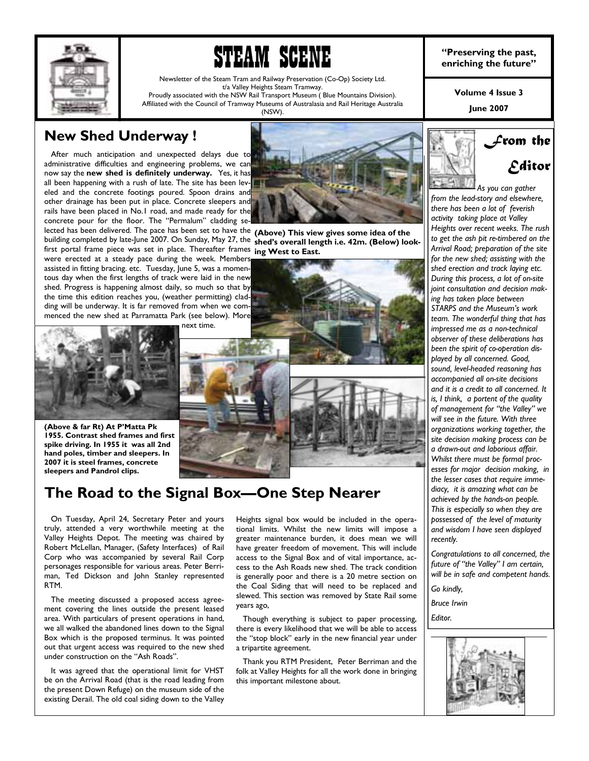

# **IFRAM SCENE enriching the past,**<br> **PLETIM SCENE** enriching the future"

Newsletter of the Steam Tram and Railway Preservation (Co-Op) Society Ltd. t/a Valley Heights Steam Tramway. Proudly associated with the NSW Rail Transport Museum ( Blue Mountains Division).

Affiliated with the Council of Tramway Museums of Australasia and Rail Heritage Australia (NSW).

**Volume 4 Issue 3** 

**June 2007** 

# **New Shed Underway !**

 After much anticipation and unexpected delays due to administrative difficulties and engineering problems, we can now say the **new shed is definitely underway.** Yes, it has all been happening with a rush of late. The site has been leveled and the concrete footings poured. Spoon drains and other drainage has been put in place. Concrete sleepers and rails have been placed in No.1 road, and made ready for the concrete pour for the floor. The "Permalum" cladding se-



lected has been delivered. The pace has been set to have the **(Above) This view gives some idea of the**  building completed by late-June 2007. On Sunday, May 27, the shed's overall length i.e. 42m. (Below) look-

first portal frame piece was set in place. Thereafter frames **ing West to East.**  were erected at a steady pace during the week. Members assisted in fitting bracing. etc. Tuesday, June 5, was a momentous day when the first lengths of track were laid in the new shed. Progress is happening almost daily, so much so that by the time this edition reaches you, (weather permitting) cladding will be underway. It is far removed from when we commenced the new shed at Parramatta Park (see below). More next time.



**(Above & far Rt) At PíMatta Pk 1955. Contrast shed frames and first spike driving. In 1955 it was all 2nd hand poles, timber and sleepers. In 2007 it is steel frames, concrete sleepers and Pandrol clips.** 



## **The Road to the Signal Box—One Step Nearer**

 On Tuesday, April 24, Secretary Peter and yours truly, attended a very worthwhile meeting at the Valley Heights Depot. The meeting was chaired by Robert McLellan, Manager, (Safety Interfaces) of Rail Corp who was accompanied by several Rail Corp personages responsible for various areas. Peter Berriman, Ted Dickson and John Stanley represented RTM.

 The meeting discussed a proposed access agreement covering the lines outside the present leased area. With particulars of present operations in hand, we all walked the abandoned lines down to the Signal Box which is the proposed terminus. It was pointed out that urgent access was required to the new shed under construction on the "Ash Roads".

 It was agreed that the operational limit for VHST be on the Arrival Road (that is the road leading from the present Down Refuge) on the museum side of the existing Derail. The old coal siding down to the Valley Heights signal box would be included in the operational limits. Whilst the new limits will impose a greater maintenance burden, it does mean we will have greater freedom of movement. This will include access to the Signal Box and of vital importance, access to the Ash Roads new shed. The track condition is generally poor and there is a 20 metre section on the Coal Siding that will need to be replaced and slewed. This section was removed by State Rail some years ago,

 Though everything is subject to paper processing, there is every likelihood that we will be able to access the "stop block" early in the new financial year under a tripartite agreement.

 Thank you RTM President, Peter Berriman and the folk at Valley Heights for all the work done in bringing this important milestone about.



*from the lead-story and elsewhere, there has been a lot of feverish activity taking place at Valley Heights over recent weeks. The rush to get the ash pit re-timbered on the Arrival Road; preparation of the site for the new shed; assisting with the shed erection and track laying etc. During this process, a lot of on-site joint consultation and decision making has taken place between STARPS and the Museumís work team. The wonderful thing that has impressed me as a non-technical observer of these deliberations has been the spirit of co-operation displayed by all concerned. Good, sound, level-headed reasoning has accompanied all on-site decisions and it is a credit to all concerned. It is, I think, a portent of the quality of management for ìthe Valleyî we will see in the future. With three organizations working together, the site decision making process can be a drawn-out and laborious affair. Whilst there must be formal processes for major decision making, in the lesser cases that require immediacy, it is amazing what can be achieved by the hands-on people. This is especially so when they are possessed of the level of maturity and wisdom I have seen displayed recently.* 

*Congratulations to all concerned, the*  future of "the Valley" I am certain, *will be in safe and competent hands.* 

*Go kindly,* 

*Bruce Irwin* 

*Editor.* 

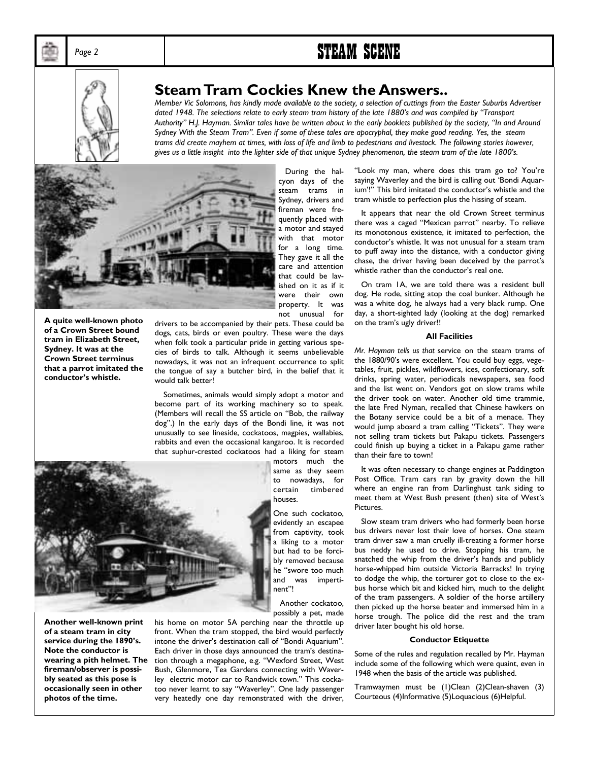# Page 2 **STEAM SCENE**



### **Steam Tram Cockies Knew the Answers..**

*Member Vic Solomons, has kindly made available to the society, a selection of cuttings from the Easter Suburbs Advertiser*  dated 1948. The selections relate to early steam tram history of the late 1880's and was compiled by "Transport Authority" H.J. Hayman. Similar tales have be written about in the early booklets published by the society, "In and Around *Sydney With the Steam Tramî. Even if some of these tales are apocryphal, they make good reading. Yes, the steam trams did create mayhem at times, with loss of life and limb to pedestrians and livestock. The following stories however,*  gives us a little insight into the lighter side of that unique Sydney phenomenon, the steam tram of the late 1800's.



 During the halcyon days of the steam trams in Sydney, drivers and fireman were frequently placed with a motor and stayed with that motor for a long time. They gave it all the care and attention that could be lavished on it as if it were their own property. It was not unusual for

**A quite well-known photo of a Crown Street bound tram in Elizabeth Street, Sydney. It was at the Crown Street terminus that a parrot imitated the**  conductor's whistle.

drivers to be accompanied by their pets. These could be dogs, cats, birds or even poultry. These were the days when folk took a particular pride in getting various species of birds to talk. Although it seems unbelievable nowadays, it was not an infrequent occurrence to split the tongue of say a butcher bird, in the belief that it would talk better!

 Sometimes, animals would simply adopt a motor and become part of its working machinery so to speak. (Members will recall the SS article on "Bob, the railway dogî.) In the early days of the Bondi line, it was not unusually to see lineside, cockatoos, magpies, wallabies, rabbits and even the occasional kangaroo. It is recorded that suphur-crested cockatoos had a liking for steam

> motors much the same as they seem to nowadays, for certain timbered houses.

One such cockatoo, evidently an escapee from captivity, took a liking to a motor but had to be forcibly removed because he "swore too much and was impertinent'!

 Another cockatoo, possibly a pet, made

**Another well-known print of a steam tram in city**  service during the 1890's. **Note the conductor is wearing a pith helmet. The fireman/observer is possibly seated as this pose is occasionally seen in other photos of the time.** 

his home on motor 5A perching near the throttle up front. When the tram stopped, the bird would perfectly intone the driver's destination call of "Bondi Aquarium". Each driver in those days announced the tram's destination through a megaphone, e.g. "Wexford Street, West Bush, Glenmore, Tea Gardens connecting with Waverley electric motor car to Randwick town." This cockatoo never learnt to say "Waverley". One lady passenger very heatedly one day remonstrated with the driver,

"Look my man, where does this tram go to? You're saying Waverley and the bird is calling out 'Bondi Aquarium'!" This bird imitated the conductor's whistle and the tram whistle to perfection plus the hissing of steam.

 It appears that near the old Crown Street terminus there was a caged "Mexican parrot" nearby. To relieve its monotonous existence, it imitated to perfection, the conductor's whistle. It was not unusual for a steam tram to puff away into the distance, with a conductor giving chase, the driver having been deceived by the parrot's whistle rather than the conductor's real one.

 On tram 1A, we are told there was a resident bull dog. He rode, sitting atop the coal bunker. Although he was a white dog, he always had a very black rump. One day, a short-sighted lady (looking at the dog) remarked on the tram's ugly driver!!

### **All Facilities**

*Mr. Hayman tells us that* service on the steam trams of the 1880/90's were excellent. You could buy eggs, vegetables, fruit, pickles, wildflowers, ices, confectionary, soft drinks, spring water, periodicals newspapers, sea food and the list went on. Vendors got on slow trams while the driver took on water. Another old time trammie, the late Fred Nyman, recalled that Chinese hawkers on the Botany service could be a bit of a menace. They would jump aboard a tram calling "Tickets". They were not selling tram tickets but Pakapu tickets. Passengers could finish up buying a ticket in a Pakapu game rather than their fare to town!

 It was often necessary to change engines at Paddington Post Office. Tram cars ran by gravity down the hill where an engine ran from Darlinghust tank siding to meet them at West Bush present (then) site of West's Pictures.

 Slow steam tram drivers who had formerly been horse bus drivers never lost their love of horses. One steam tram driver saw a man cruelly ill-treating a former horse bus neddy he used to drive. Stopping his tram, he snatched the whip from the driver's hands and publicly horse-whipped him outside Victoria Barracks! In trying to dodge the whip, the torturer got to close to the exbus horse which bit and kicked him, much to the delight of the tram passengers. A soldier of the horse artillery then picked up the horse beater and immersed him in a horse trough. The police did the rest and the tram driver later bought his old horse.

### **Conductor Etiquette**

Some of the rules and regulation recalled by Mr. Hayman include some of the following which were quaint, even in 1948 when the basis of the article was published.

Tramwaymen must be (1)Clean (2)Clean-shaven (3) Courteous (4)Informative (5)Loquacious (6)Helpful.

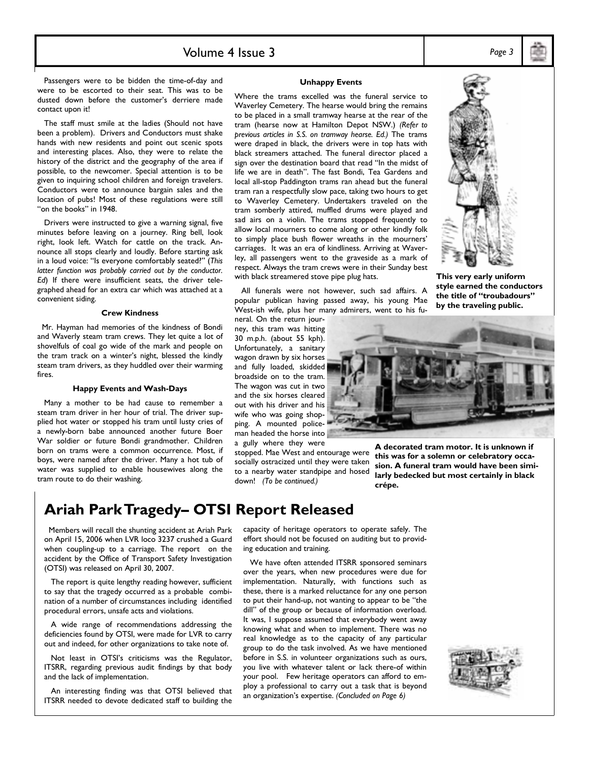### Volume 4 Issue 3 *Page 3*

 Passengers were to be bidden the time-of-day and were to be escorted to their seat. This was to be dusted down before the customer's derriere made contact upon it!

 The staff must smile at the ladies (Should not have been a problem). Drivers and Conductors must shake hands with new residents and point out scenic spots and interesting places. Also, they were to relate the history of the district and the geography of the area if possible, to the newcomer. Special attention is to be given to inquiring school children and foreign travelers. Conductors were to announce bargain sales and the location of pubs! Most of these regulations were still "on the books" in 1948.

 Drivers were instructed to give a warning signal, five minutes before leaving on a journey. Ring bell, look right, look left. Watch for cattle on the track. Announce all stops clearly and loudly. Before starting ask in a loud voice: "Is everyone comfortably seated?" (This latter function was probably carried out by the conductor. *Ed*) If there were insufficient seats, the driver telegraphed ahead for an extra car which was attached at a convenient siding.

### **Crew Kindness**

 Mr. Hayman had memories of the kindness of Bondi and Waverly steam tram crews. They let quite a lot of shovelfuls of coal go wide of the mark and people on the tram track on a winter's night, blessed the kindly steam tram drivers, as they huddled over their warming fires.

#### **Happy Events and Wash-Days**

 Many a mother to be had cause to remember a steam tram driver in her hour of trial. The driver supplied hot water or stopped his tram until lusty cries of a newly-born babe announced another future Boer War soldier or future Bondi grandmother. Children born on trams were a common occurrence. Most, if boys, were named after the driver. Many a hot tub of water was supplied to enable housewives along the tram route to do their washing.

### **Ariah Park Tragedy- OTSI Report Released**

 Members will recall the shunting accident at Ariah Park on April 15, 2006 when LVR loco 3237 crushed a Guard when coupling-up to a carriage. The report on the accident by the Office of Transport Safety Investigation (OTSI) was released on April 30, 2007.

 The report is quite lengthy reading however, sufficient to say that the tragedy occurred as a probable combination of a number of circumstances including identified procedural errors, unsafe acts and violations.

 A wide range of recommendations addressing the deficiencies found by OTSI, were made for LVR to carry out and indeed, for other organizations to take note of.

Not least in OTSI's criticisms was the Regulator, ITSRR, regarding previous audit findings by that body and the lack of implementation.

 An interesting finding was that OTSI believed that ITSRR needed to devote dedicated staff to building the

#### **Unhappy Events**

Where the trams excelled was the funeral service to Waverley Cemetery. The hearse would bring the remains to be placed in a small tramway hearse at the rear of the tram (hearse now at Hamilton Depot NSW.) *(Refer to previous articles in S.S. on tramway hearse. Ed.)* The trams were draped in black, the drivers were in top hats with black streamers attached. The funeral director placed a sign over the destination board that read "In the midst of life we are in death". The fast Bondi, Tea Gardens and local all-stop Paddington trams ran ahead but the funeral tram ran a respectfully slow pace, taking two hours to get to Waverley Cemetery. Undertakers traveled on the tram somberly attired, muffled drums were played and sad airs on a violin. The trams stopped frequently to allow local mourners to come along or other kindly folk to simply place bush flower wreaths in the mourners' carriages. It was an era of kindliness. Arriving at Waverley, all passengers went to the graveside as a mark of respect. Always the tram crews were in their Sunday best with black streamered stove pipe plug hats.

 All funerals were not however, such sad affairs. A popular publican having passed away, his young Mae West-ish wife, plus her many admirers, went to his fu-

neral. On the return journey, this tram was hitting 30 m.p.h. (about 55 kph). Unfortunately, a sanitary wagon drawn by six horses and fully loaded, skidded broadside on to the tram. The wagon was cut in two and the six horses cleared out with his driver and his wife who was going shopping. A mounted policeman headed the horse into a gully where they were

stopped. Mae West and entourage were socially ostracized until they were taken to a nearby water standpipe and hosed down! *(To be continued.)* 



**A decorated tram motor. It is unknown if this was for a solemn or celebratory occasion. A funeral tram would have been similarly bedecked but most certainly in black crÈpe.** 

capacity of heritage operators to operate safely. The effort should not be focused on auditing but to providing education and training.

 We have often attended ITSRR sponsored seminars over the years, when new procedures were due for implementation. Naturally, with functions such as these, there is a marked reluctance for any one person to put their hand-up, not wanting to appear to be "the dill" of the group or because of information overload. It was, I suppose assumed that everybody went away knowing what and when to implement. There was no real knowledge as to the capacity of any particular group to do the task involved. As we have mentioned before in S.S. in volunteer organizations such as ours, you live with whatever talent or lack there-of within your pool. Few heritage operators can afford to employ a professional to carry out a task that is beyond an organization's expertise. *(Concluded on Page 6)* 



**This very early uniform style earned the conductors**  the title of "troubadours" **by the traveling public.**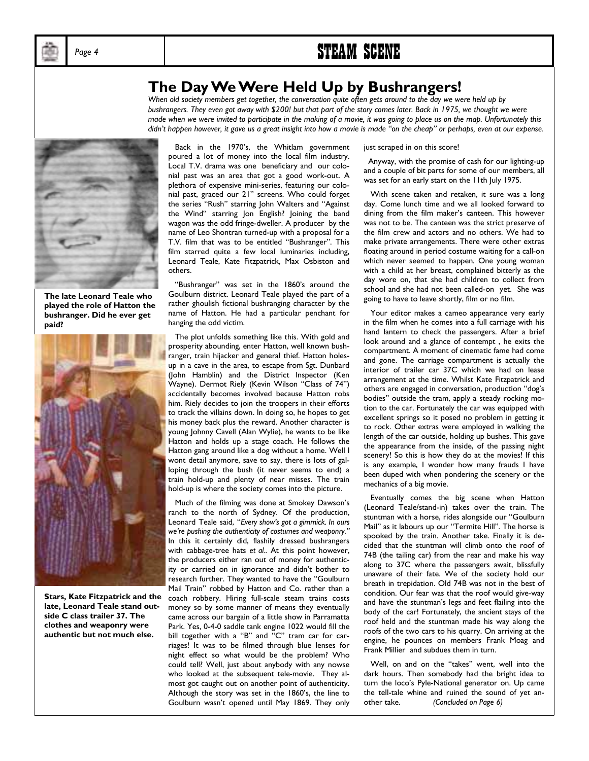

# Page 4 **STEAM SCENE**

### **The Day We Were Held Up by Bushrangers!**

*When old society members get together, the conversation quite often gets around to the day we were held up by bushrangers. They even got away with \$200! but that part of the story comes later. Back in 1975, we thought we were made when we were invited to participate in the making of a movie, it was going to place us on the map. Unfortunately this*  didn't happen however, it gave us a great insight into how a movie is made "on the cheap" or perhaps, even at our expense.



**The late Leonard Teale who played the role of Hatton the bushranger. Did he ever get paid?** 



**Stars, Kate Fitzpatrick and the late, Leonard Teale stand outside C class trailer 37. The clothes and weaponry were authentic but not much else.** 

Back in the 1970's, the Whitlam government poured a lot of money into the local film industry. Local T.V. drama was one beneficiary and our colonial past was an area that got a good work-out. A plethora of expensive mini-series, featuring our colonial past, graced our 21" screens. Who could forget the series "Rush" starring John Walters and "Against the Wind" starring Jon English? Joining the band wagon was the odd fringe-dweller. A producer by the name of Leo Shontran turned-up with a proposal for a T.V. film that was to be entitled "Bushranger". This film starred quite a few local luminaries including, Leonard Teale, Kate Fitzpatrick, Max Osbiston and others.

"Bushranger" was set in the 1860's around the Goulburn district. Leonard Teale played the part of a rather ghoulish fictional bushranging character by the name of Hatton. He had a particular penchant for hanging the odd victim.

 The plot unfolds something like this. With gold and prosperity abounding, enter Hatton, well known bushranger, train hijacker and general thief. Hatton holesup in a cave in the area, to escape from Sgt. Dunbard (John Hamblin) and the District Inspector (Ken Wayne). Dermot Riely (Kevin Wilson "Class of 74") accidentally becomes involved because Hatton robs him. Riely decides to join the troopers in their efforts to track the villains down. In doing so, he hopes to get his money back plus the reward. Another character is young Johnny Cavell (Alan Wylie), he wants to be like Hatton and holds up a stage coach. He follows the Hatton gang around like a dog without a home. Well I wont detail anymore, save to say, there is lots of galloping through the bush (it never seems to end) a train hold-up and plenty of near misses. The train hold-up is where the society comes into the picture.

Much of the filming was done at Smokey Dawson's ranch to the north of Sydney. Of the production, Leonard Teale said, "*Every show's got a gimmick. In ours* we're pushing the authenticity of costumes and weaponry." In this it certainly did, flashily dressed bushrangers with cabbage-tree hats *et al.*. At this point however, the producers either ran out of money for authenticity or carried on in ignorance and didn't bother to research further. They wanted to have the "Goulburn Mail Train" robbed by Hatton and Co. rather than a coach robbery. Hiring full-scale steam trains costs money so by some manner of means they eventually came across our bargain of a little show in Parramatta Park. Yes, 0-4-0 saddle tank engine 1022 would fill the bill together with a "B" and "C" tram car for carriages! It was to be filmed through blue lenses for night effect so what would be the problem? Who could tell? Well, just about anybody with any nowse who looked at the subsequent tele-movie. They almost got caught out on another point of authenticity. Although the story was set in the 1860's, the line to Goulburn wasn't opened until May 1869. They only

just scraped in on this score!

 Anyway, with the promise of cash for our lighting-up and a couple of bit parts for some of our members, all was set for an early start on the 11th July 1975.

 With scene taken and retaken, it sure was a long day. Come lunch time and we all looked forward to dining from the film maker's canteen. This however was not to be. The canteen was the strict preserve of the film crew and actors and no others. We had to make private arrangements. There were other extras floating around in period costume waiting for a call-on which never seemed to happen. One young woman with a child at her breast, complained bitterly as the day wore on, that she had children to collect from school and she had not been called-on yet. She was going to have to leave shortly, film or no film.

 Your editor makes a cameo appearance very early in the film when he comes into a full carriage with his hand lantern to check the passengers. After a brief look around and a glance of contempt , he exits the compartment. A moment of cinematic fame had come and gone. The carriage compartment is actually the interior of trailer car 37C which we had on lease arrangement at the time. Whilst Kate Fitzpatrick and others are engaged in conversation, production "dog's bodies" outside the tram, apply a steady rocking motion to the car. Fortunately the car was equipped with excellent springs so it posed no problem in getting it to rock. Other extras were employed in walking the length of the car outside, holding up bushes. This gave the appearance from the inside, of the passing night scenery! So this is how they do at the movies! If this is any example, I wonder how many frauds I have been duped with when pondering the scenery or the mechanics of a big movie.

 Eventually comes the big scene when Hatton (Leonard Teale/stand-in) takes over the train. The stuntman with a horse, rides alongside our "Goulburn Mail" as it labours up our "Termite Hill". The horse is spooked by the train. Another take. Finally it is decided that the stuntman will climb onto the roof of 74B (the tailing car) from the rear and make his way along to 37C where the passengers await, blissfully unaware of their fate. We of the society hold our breath in trepidation. Old 74B was not in the best of condition. Our fear was that the roof would give-way and have the stuntman's legs and feet flailing into the body of the car! Fortunately, the ancient stays of the roof held and the stuntman made his way along the roofs of the two cars to his quarry. On arriving at the engine, he pounces on members Frank Moag and Frank Millier and subdues them in turn.

Well, on and on the "takes" went, well into the dark hours. Then somebody had the bright idea to turn the loco's Pyle-National generator on. Up came the tell-tale whine and ruined the sound of yet another take. *(Concluded on Page 6)*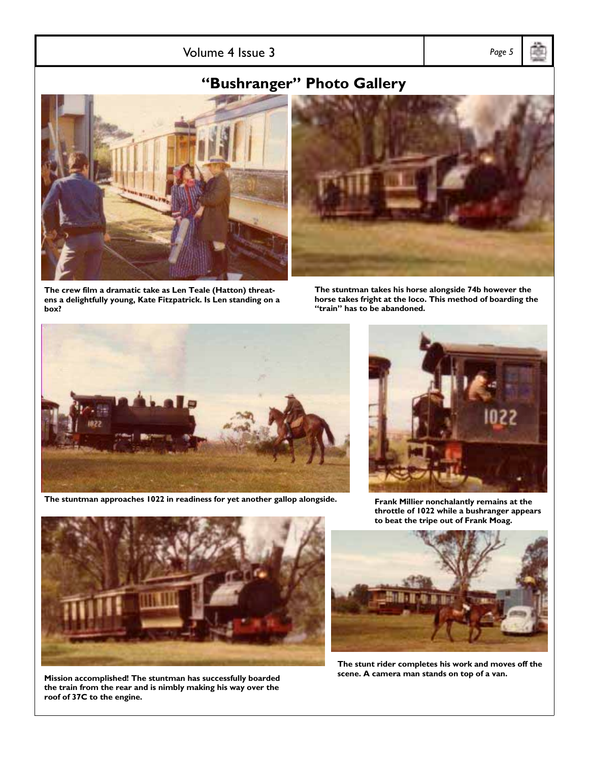Volume 4 Issue 3 *Page 5* 

# **ìBushrangerî Photo Gallery**



**The crew film a dramatic take as Len Teale (Hatton) threatens a delightfully young, Kate Fitzpatrick. Is Len standing on a box?** 

**The stuntman takes his horse alongside 74b however the horse takes fright at the loco. This method of boarding the ìtrainî has to be abandoned.** 





**Frank Millier nonchalantly remains at the throttle of 1022 while a bushranger appears to beat the tripe out of Frank Moag.** 





**The stunt rider completes his work and moves off the scene. A camera man stands on top of a van.**